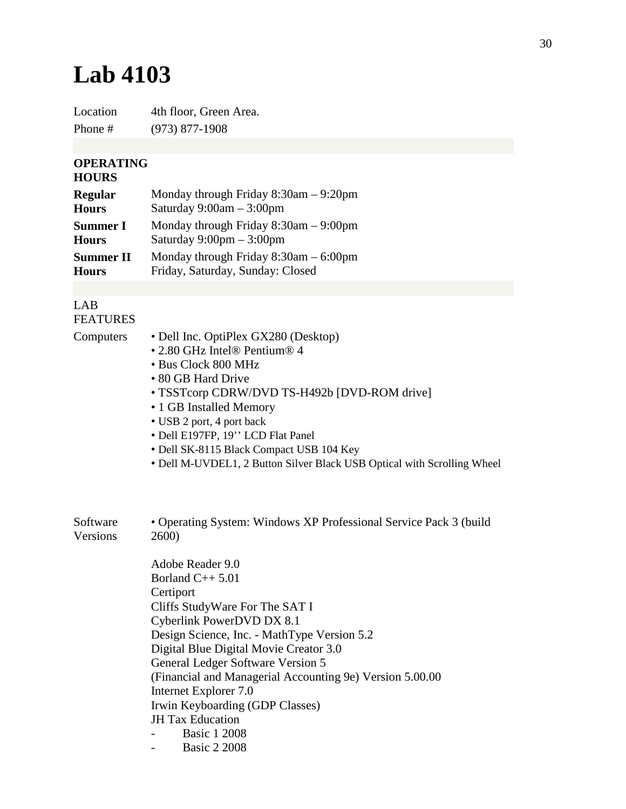## **Lab 4103**

Location 4th floor, Green Area. Phone # (973) 877-1908

## **OPERATING**

## **HOURS**

| <b>Regular</b>   | Monday through Friday $8:30$ am $-9:20$ pm |
|------------------|--------------------------------------------|
| <b>Hours</b>     | Saturday $9:00am - 3:00pm$                 |
| <b>Summer I</b>  | Monday through Friday $8:30$ am $-9:00$ pm |
| <b>Hours</b>     | Saturday $9:00 \text{pm} - 3:00 \text{pm}$ |
| <b>Summer II</b> | Monday through Friday $8:30$ am $-6:00$ pm |
| <b>Hours</b>     | Friday, Saturday, Sunday: Closed           |

## LAB FEATURES

- Computers Dell Inc. OptiPlex GX280 (Desktop)
	- 2.80 GHz Intel® Pentium® 4
	- Bus Clock 800 MHz
	- 80 GB Hard Drive
	- TSSTcorp CDRW/DVD TS-H492b [DVD-ROM drive]
	- 1 GB Installed Memory
	- USB 2 port, 4 port back
	- Dell E197FP, 19'' LCD Flat Panel
	- Dell SK-8115 Black Compact USB 104 Key
	- Dell M-UVDEL1, 2 Button Silver Black USB Optical with Scrolling Wheel

Software Versions • Operating System: Windows XP Professional Service Pack 3 (build 2600)

> Adobe Reader 9.0 Borland C++ 5.01 **Certiport** Cliffs StudyWare For The SAT I Cyberlink PowerDVD DX 8.1 Design Science, Inc. - MathType Version 5.2 Digital Blue Digital Movie Creator 3.0 General Ledger Software Version 5 (Financial and Managerial Accounting 9e) Version 5.00.00 Internet Explorer 7.0 Irwin Keyboarding (GDP Classes) JH Tax Education **Basic 1 2008**

- Basic 2 2008